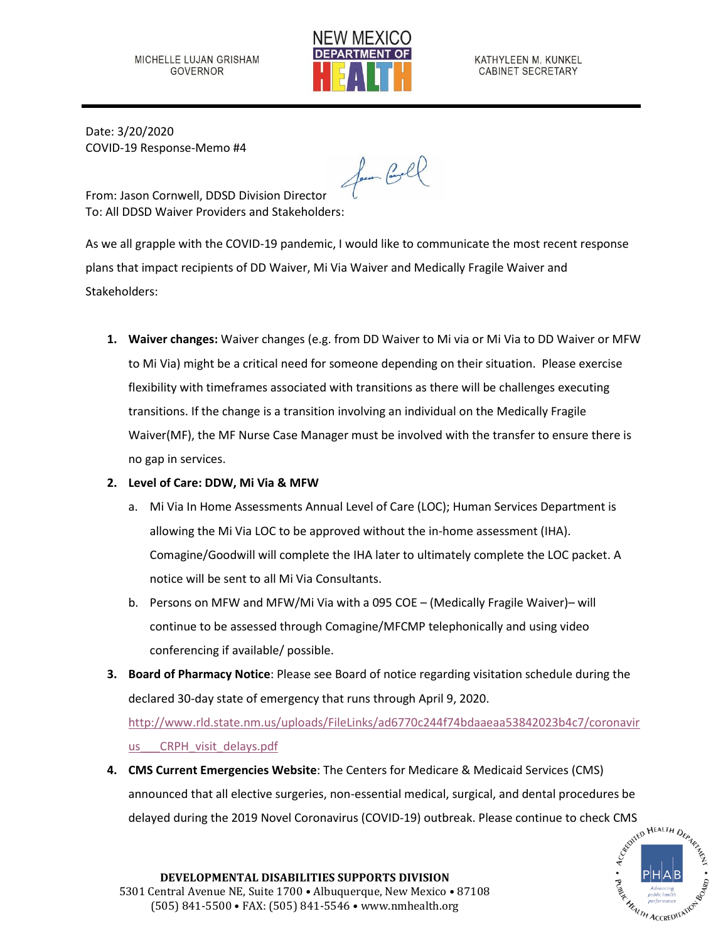

KATHYLEEN M. KUNKEL CABINET SECRETARY

Date: 3/20/2020 COVID-19 Response-Memo #4

Jam Cooll

From: Jason Cornwell, DDSD Division Director To: All DDSD Waiver Providers and Stakeholders:

As we all grapple with the COVID-19 pandemic, I would like to communicate the most recent response plans that impact recipients of DD Waiver, Mi Via Waiver and Medically Fragile Waiver and Stakeholders:

- **1. Waiver changes:** Waiver changes (e.g. from DD Waiver to Mi via or Mi Via to DD Waiver or MFW to Mi Via) might be a critical need for someone depending on their situation. Please exercise flexibility with timeframes associated with transitions as there will be challenges executing transitions. If the change is a transition involving an individual on the Medically Fragile Waiver(MF), the MF Nurse Case Manager must be involved with the transfer to ensure there is no gap in services.
- **2. Level of Care: DDW, Mi Via & MFW**
	- a. Mi Via In Home Assessments Annual Level of Care (LOC); Human Services Department is allowing the Mi Via LOC to be approved without the in-home assessment (IHA). Comagine/Goodwill will complete the IHA later to ultimately complete the LOC packet. A notice will be sent to all Mi Via Consultants.
	- b. Persons on MFW and MFW/Mi Via with a 095 COE (Medically Fragile Waiver)– will continue to be assessed through Comagine/MFCMP telephonically and using video conferencing if available/ possible.
- **3. Board of Pharmacy Notice**: Please see Board of notice regarding visitation schedule during the declared 30-day state of emergency that runs through April 9, 2020. [http://www.rld.state.nm.us/uploads/FileLinks/ad6770c244f74bdaaeaa53842023b4c7/coronavir](http://www.rld.state.nm.us/uploads/FileLinks/ad6770c244f74bdaaeaa53842023b4c7/coronavirus___CRPH_visit_delays.pdf)

us CRPH visit delays.pdf

**4. CMS Current Emergencies Website**: The Centers for Medicare & Medicaid Services (CMS) announced that all elective surgeries, non-essential medical, surgical, and dental procedures be delayed during the 2019 Novel Coronavirus (COVID-19) outbreak. Please continue to check CMS<br>  $e^{\delta^{N^{\zeta D}}\frac{\mathbf{M}^{EALTH}D_{\zeta_{P_{\gamma_{\zeta}}}}}{\delta^{N^{\zeta D}}\mathbf{M}^{EALTH}}}$